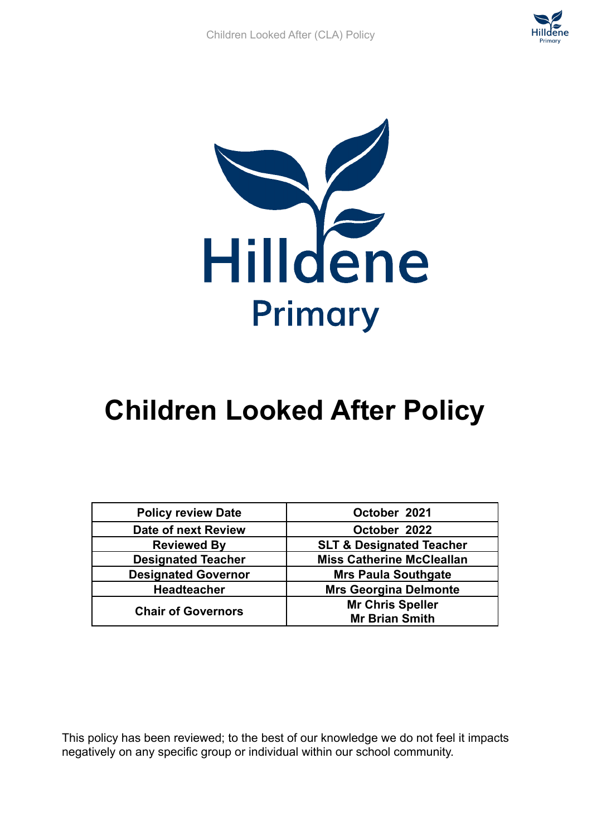



# **Children Looked After Policy**

| <b>Policy review Date</b>  | October 2021                        |
|----------------------------|-------------------------------------|
| <b>Date of next Review</b> | October 2022                        |
| <b>Reviewed By</b>         | <b>SLT &amp; Designated Teacher</b> |
| <b>Designated Teacher</b>  | <b>Miss Catherine McCleallan</b>    |
| <b>Designated Governor</b> | <b>Mrs Paula Southgate</b>          |
| <b>Headteacher</b>         | <b>Mrs Georgina Delmonte</b>        |
| <b>Chair of Governors</b>  | <b>Mr Chris Speller</b>             |
|                            | <b>Mr Brian Smith</b>               |

This policy has been reviewed; to the best of our knowledge we do not feel it impacts negatively on any specific group or individual within our school community.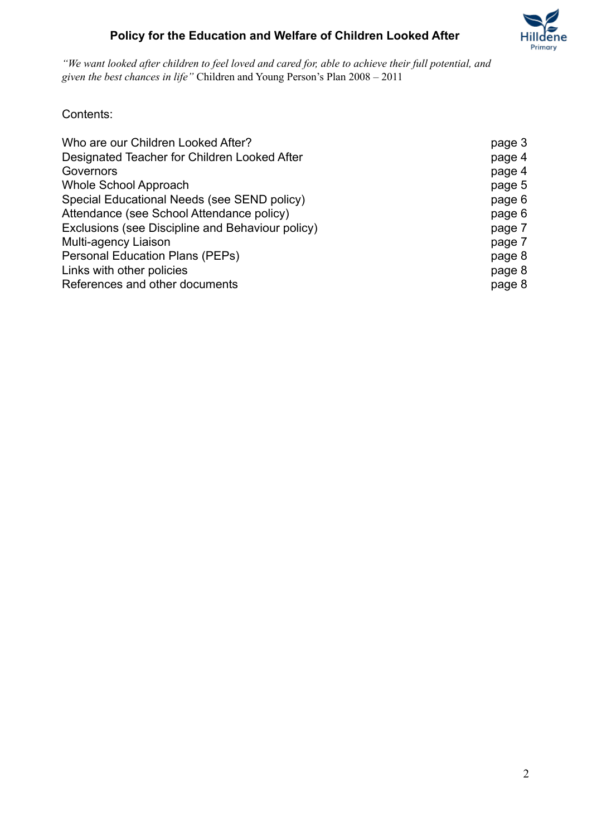

"We want looked after children to feel loved and cared for, able to achieve their full potential, and *given the best chances in life"* Children and Young Person's Plan 2008 – 2011

Contents:

| Who are our Children Looked After?               | page 3 |
|--------------------------------------------------|--------|
| Designated Teacher for Children Looked After     | page 4 |
| Governors                                        | page 4 |
| <b>Whole School Approach</b>                     | page 5 |
| Special Educational Needs (see SEND policy)      | page 6 |
| Attendance (see School Attendance policy)        | page 6 |
| Exclusions (see Discipline and Behaviour policy) | page 7 |
| Multi-agency Liaison                             | page 7 |
| <b>Personal Education Plans (PEPs)</b>           | page 8 |
| Links with other policies                        | page 8 |
| References and other documents                   | page 8 |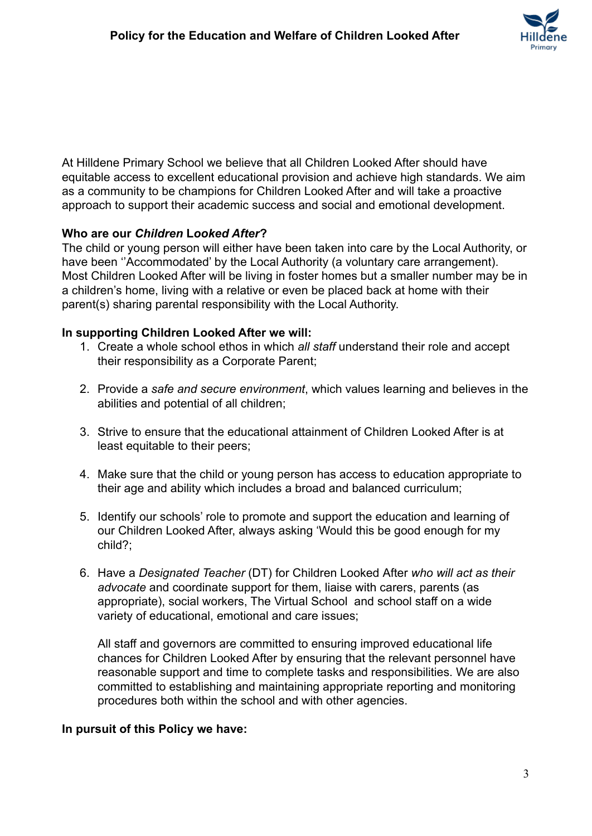

At Hilldene Primary School we believe that all Children Looked After should have equitable access to excellent educational provision and achieve high standards. We aim as a community to be champions for Children Looked After and will take a proactive approach to support their academic success and social and emotional development.

#### **Who are our** *Children* **L***ooked After***?**

The child or young person will either have been taken into care by the Local Authority, or have been ''Accommodated' by the Local Authority (a voluntary care arrangement). Most Children Looked After will be living in foster homes but a smaller number may be in a children's home, living with a relative or even be placed back at home with their parent(s) sharing parental responsibility with the Local Authority.

#### **In supporting Children Looked After we will:**

- 1. Create a whole school ethos in which *all staff* understand their role and accept their responsibility as a Corporate Parent;
- 2. Provide a *safe and secure environment*, which values learning and believes in the abilities and potential of all children;
- 3. Strive to ensure that the educational attainment of Children Looked After is at least equitable to their peers;
- 4. Make sure that the child or young person has access to education appropriate to their age and ability which includes a broad and balanced curriculum;
- 5. Identify our schools' role to promote and support the education and learning of our Children Looked After, always asking 'Would this be good enough for my child?;
- 6. Have a *Designated Teacher* (DT) for Children Looked After *who will act as their advocate* and coordinate support for them, liaise with carers, parents (as appropriate), social workers, The Virtual School and school staff on a wide variety of educational, emotional and care issues;

All staff and governors are committed to ensuring improved educational life chances for Children Looked After by ensuring that the relevant personnel have reasonable support and time to complete tasks and responsibilities. We are also committed to establishing and maintaining appropriate reporting and monitoring procedures both within the school and with other agencies.

#### **In pursuit of this Policy we have:**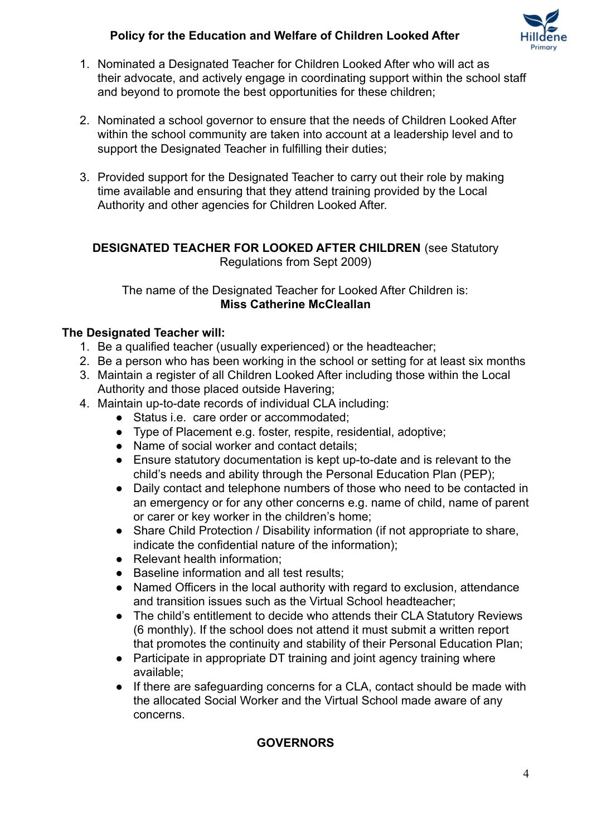

- 1. Nominated a Designated Teacher for Children Looked After who will act as their advocate, and actively engage in coordinating support within the school staff and beyond to promote the best opportunities for these children;
- 2. Nominated a school governor to ensure that the needs of Children Looked After within the school community are taken into account at a leadership level and to support the Designated Teacher in fulfilling their duties:
- 3. Provided support for the Designated Teacher to carry out their role by making time available and ensuring that they attend training provided by the Local Authority and other agencies for Children Looked After.

#### **DESIGNATED TEACHER FOR LOOKED AFTER CHILDREN** (see Statutory Regulations from Sept 2009)

The name of the Designated Teacher for Looked After Children is: **Miss Catherine McCleallan**

#### **The Designated Teacher will:**

- 1. Be a qualified teacher (usually experienced) or the headteacher;
- 2. Be a person who has been working in the school or setting for at least six months
- 3. Maintain a register of all Children Looked After including those within the Local Authority and those placed outside Havering;
- 4. Maintain up-to-date records of individual CLA including:
	- Status i.e. care order or accommodated;
	- Type of Placement e.g. foster, respite, residential, adoptive;
	- Name of social worker and contact details;
	- Ensure statutory documentation is kept up-to-date and is relevant to the child's needs and ability through the Personal Education Plan (PEP);
	- Daily contact and telephone numbers of those who need to be contacted in an emergency or for any other concerns e.g. name of child, name of parent or carer or key worker in the children's home;
	- Share Child Protection / Disability information (if not appropriate to share, indicate the confidential nature of the information);
	- Relevant health information;
	- Baseline information and all test results;
	- Named Officers in the local authority with regard to exclusion, attendance and transition issues such as the Virtual School headteacher;
	- The child's entitlement to decide who attends their CLA Statutory Reviews (6 monthly). If the school does not attend it must submit a written report that promotes the continuity and stability of their Personal Education Plan;
	- Participate in appropriate DT training and joint agency training where available;
	- If there are safeguarding concerns for a CLA, contact should be made with the allocated Social Worker and the Virtual School made aware of any concerns.

## **GOVERNORS**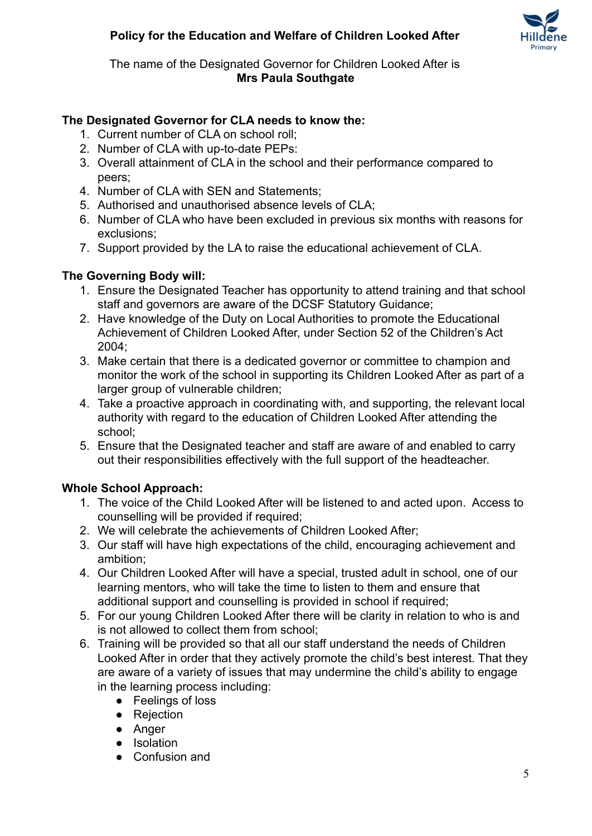

#### The name of the Designated Governor for Children Looked After is **Mrs Paula Southgate**

#### **The Designated Governor for CLA needs to know the:**

- 1. Current number of CLA on school roll;
- 2. Number of CLA with up-to-date PEPs:
- 3. Overall attainment of CLA in the school and their performance compared to peers;
- 4. Number of CLA with SEN and Statements;
- 5. Authorised and unauthorised absence levels of CLA;
- 6. Number of CLA who have been excluded in previous six months with reasons for exclusions;
- 7. Support provided by the LA to raise the educational achievement of CLA.

#### **The Governing Body will:**

- 1. Ensure the Designated Teacher has opportunity to attend training and that school staff and governors are aware of the DCSF Statutory Guidance;
- 2. Have knowledge of the Duty on Local Authorities to promote the Educational Achievement of Children Looked After, under Section 52 of the Children's Act 2004;
- 3. Make certain that there is a dedicated governor or committee to champion and monitor the work of the school in supporting its Children Looked After as part of a larger group of vulnerable children;
- 4. Take a proactive approach in coordinating with, and supporting, the relevant local authority with regard to the education of Children Looked After attending the school;
- 5. Ensure that the Designated teacher and staff are aware of and enabled to carry out their responsibilities effectively with the full support of the headteacher.

## **Whole School Approach:**

- 1. The voice of the Child Looked After will be listened to and acted upon. Access to counselling will be provided if required;
- 2. We will celebrate the achievements of Children Looked After;
- 3. Our staff will have high expectations of the child, encouraging achievement and ambition;
- 4. Our Children Looked After will have a special, trusted adult in school, one of our learning mentors, who will take the time to listen to them and ensure that additional support and counselling is provided in school if required;
- 5. For our young Children Looked After there will be clarity in relation to who is and is not allowed to collect them from school;
- 6. Training will be provided so that all our staff understand the needs of Children Looked After in order that they actively promote the child's best interest. That they are aware of a variety of issues that may undermine the child's ability to engage in the learning process including:
	- Feelings of loss
	- Rejection
	- Anger
	- Isolation
	- Confusion and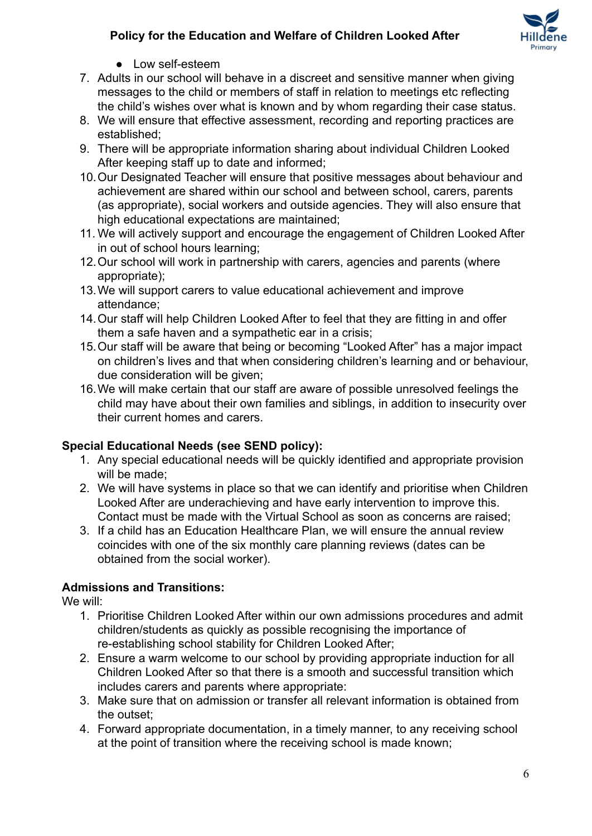

- Low self-esteem
- 7. Adults in our school will behave in a discreet and sensitive manner when giving messages to the child or members of staff in relation to meetings etc reflecting the child's wishes over what is known and by whom regarding their case status.
- 8. We will ensure that effective assessment, recording and reporting practices are established;
- 9. There will be appropriate information sharing about individual Children Looked After keeping staff up to date and informed;
- 10.Our Designated Teacher will ensure that positive messages about behaviour and achievement are shared within our school and between school, carers, parents (as appropriate), social workers and outside agencies. They will also ensure that high educational expectations are maintained;
- 11. We will actively support and encourage the engagement of Children Looked After in out of school hours learning;
- 12.Our school will work in partnership with carers, agencies and parents (where appropriate);
- 13.We will support carers to value educational achievement and improve attendance;
- 14.Our staff will help Children Looked After to feel that they are fitting in and offer them a safe haven and a sympathetic ear in a crisis;
- 15.Our staff will be aware that being or becoming "Looked After" has a major impact on children's lives and that when considering children's learning and or behaviour, due consideration will be given;
- 16.We will make certain that our staff are aware of possible unresolved feelings the child may have about their own families and siblings, in addition to insecurity over their current homes and carers.

## **Special Educational Needs (see SEND policy):**

- 1. Any special educational needs will be quickly identified and appropriate provision will be made;
- 2. We will have systems in place so that we can identify and prioritise when Children Looked After are underachieving and have early intervention to improve this. Contact must be made with the Virtual School as soon as concerns are raised;
- 3. If a child has an Education Healthcare Plan, we will ensure the annual review coincides with one of the six monthly care planning reviews (dates can be obtained from the social worker).

## **Admissions and Transitions:**

We will:

- 1. Prioritise Children Looked After within our own admissions procedures and admit children/students as quickly as possible recognising the importance of re-establishing school stability for Children Looked After;
- 2. Ensure a warm welcome to our school by providing appropriate induction for all Children Looked After so that there is a smooth and successful transition which includes carers and parents where appropriate:
- 3. Make sure that on admission or transfer all relevant information is obtained from the outset;
- 4. Forward appropriate documentation, in a timely manner, to any receiving school at the point of transition where the receiving school is made known;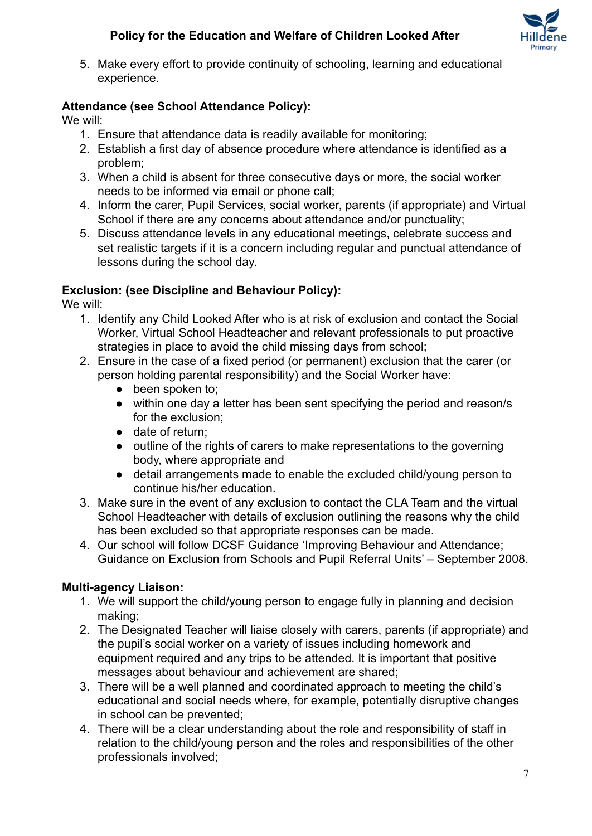

5. Make every effort to provide continuity of schooling, learning and educational experience.

## **Attendance (see School Attendance Policy):**

We will:

- 1. Ensure that attendance data is readily available for monitoring;
- 2. Establish a first day of absence procedure where attendance is identified as a problem;
- 3. When a child is absent for three consecutive days or more, the social worker needs to be informed via email or phone call;
- 4. Inform the carer, Pupil Services, social worker, parents (if appropriate) and Virtual School if there are any concerns about attendance and/or punctuality;
- 5. Discuss attendance levels in any educational meetings, celebrate success and set realistic targets if it is a concern including regular and punctual attendance of lessons during the school day.

#### **Exclusion: (see Discipline and Behaviour Policy):**

We will:

- 1. Identify any Child Looked After who is at risk of exclusion and contact the Social Worker, Virtual School Headteacher and relevant professionals to put proactive strategies in place to avoid the child missing days from school:
- 2. Ensure in the case of a fixed period (or permanent) exclusion that the carer (or person holding parental responsibility) and the Social Worker have:
	- been spoken to:
	- within one day a letter has been sent specifying the period and reason/s for the exclusion;
	- date of return:
	- outline of the rights of carers to make representations to the governing body, where appropriate and
	- detail arrangements made to enable the excluded child/young person to continue his/her education.
- 3. Make sure in the event of any exclusion to contact the CLA Team and the virtual School Headteacher with details of exclusion outlining the reasons why the child has been excluded so that appropriate responses can be made.
- 4. Our school will follow DCSF Guidance 'Improving Behaviour and Attendance; Guidance on Exclusion from Schools and Pupil Referral Units' – September 2008.

## **Multi-agency Liaison:**

- 1. We will support the child/young person to engage fully in planning and decision making;
- 2. The Designated Teacher will liaise closely with carers, parents (if appropriate) and the pupil's social worker on a variety of issues including homework and equipment required and any trips to be attended. It is important that positive messages about behaviour and achievement are shared;
- 3. There will be a well planned and coordinated approach to meeting the child's educational and social needs where, for example, potentially disruptive changes in school can be prevented;
- 4. There will be a clear understanding about the role and responsibility of staff in relation to the child/young person and the roles and responsibilities of the other professionals involved;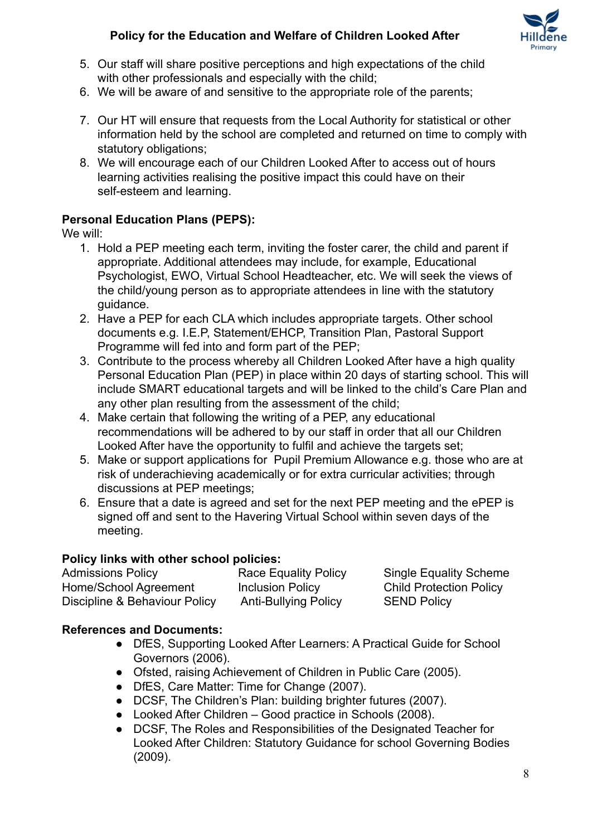

- 5. Our staff will share positive perceptions and high expectations of the child with other professionals and especially with the child:
- 6. We will be aware of and sensitive to the appropriate role of the parents;
- 7. Our HT will ensure that requests from the Local Authority for statistical or other information held by the school are completed and returned on time to comply with statutory obligations;
- 8. We will encourage each of our Children Looked After to access out of hours learning activities realising the positive impact this could have on their self-esteem and learning.

## **Personal Education Plans (PEPS):**

We will:

- 1. Hold a PEP meeting each term, inviting the foster carer, the child and parent if appropriate. Additional attendees may include, for example, Educational Psychologist, EWO, Virtual School Headteacher, etc. We will seek the views of the child/young person as to appropriate attendees in line with the statutory guidance.
- 2. Have a PEP for each CLA which includes appropriate targets. Other school documents e.g. I.E.P, Statement/EHCP, Transition Plan, Pastoral Support Programme will fed into and form part of the PEP;
- 3. Contribute to the process whereby all Children Looked After have a high quality Personal Education Plan (PEP) in place within 20 days of starting school. This will include SMART educational targets and will be linked to the child's Care Plan and any other plan resulting from the assessment of the child;
- 4. Make certain that following the writing of a PEP, any educational recommendations will be adhered to by our staff in order that all our Children Looked After have the opportunity to fulfil and achieve the targets set;
- 5. Make or support applications for Pupil Premium Allowance e.g. those who are at risk of underachieving academically or for extra curricular activities; through discussions at PEP meetings;
- 6. Ensure that a date is agreed and set for the next PEP meeting and the ePEP is signed off and sent to the Havering Virtual School within seven days of the meeting.

## **Policy links with other school policies:**

Admissions Policy **Race Equality Policy** Single Equality Scheme Home/School Agreement Inclusion Policy Child Protection Policy Discipline & Behaviour Policy Anti-Bullying Policy SEND Policy

## **References and Documents:**

- DfES, Supporting Looked After Learners: A Practical Guide for School Governors (2006).
- Ofsted, raising Achievement of Children in Public Care (2005).
- DfES, Care Matter: Time for Change (2007).
- DCSF, The Children's Plan: building brighter futures (2007).
- Looked After Children Good practice in Schools (2008).
- DCSF, The Roles and Responsibilities of the Designated Teacher for Looked After Children: Statutory Guidance for school Governing Bodies (2009).